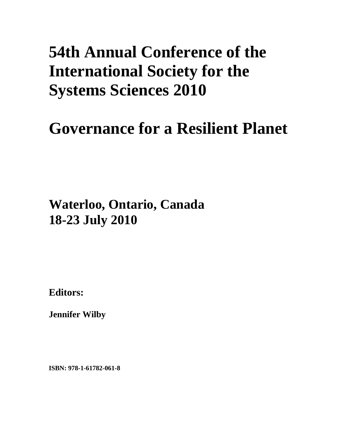## **54th Annual Conference of the International Society for the Systems Sciences 2010**

# **Governance for a Resilient Planet**

**Waterloo, Ontario, Canada 18-23 July 2010**

**Editors:** 

**Jennifer Wilby** 

**ISBN: 978-1-61782-061-8**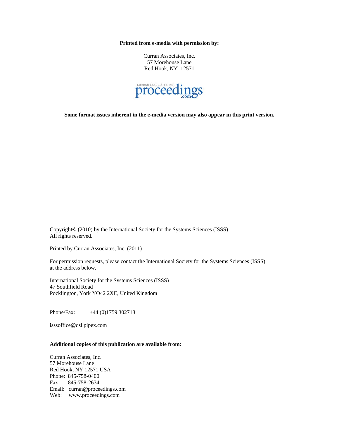**Printed from e-media with permission by:** 

Curran Associates, Inc. 57 Morehouse Lane Red Hook, NY 12571



**Some format issues inherent in the e-media version may also appear in this print version.** 

Copyright© (2010) by the International Society for the Systems Sciences (ISSS) All rights reserved.

Printed by Curran Associates, Inc. (2011)

For permission requests, please contact the International Society for the Systems Sciences (ISSS) at the address below.

International Society for the Systems Sciences (ISSS) 47 Southfield Road Pocklington, York YO42 2XE, United Kingdom

Phone/Fax: +44 (0)1759 302718

isssoffice@dsl.pipex.com

#### **Additional copies of this publication are available from:**

Curran Associates, Inc. 57 Morehouse Lane Red Hook, NY 12571 USA Phone: 845-758-0400 Fax: 845-758-2634 Email: curran@proceedings.com Web: www.proceedings.com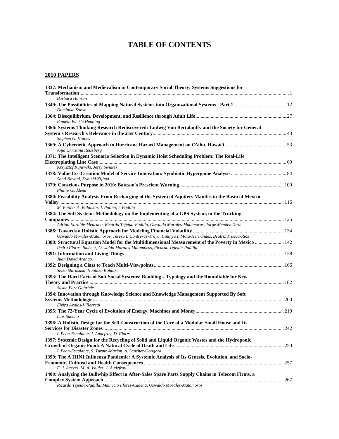## **TABLE OF CONTENTS**

### **2010 PAPERS**

| 1337: Mechanism and Medievalism in Contemporary Social Theory: Systems Suggestions for                                                                                                                     |  |
|------------------------------------------------------------------------------------------------------------------------------------------------------------------------------------------------------------|--|
|                                                                                                                                                                                                            |  |
| <b>Barbara Hanson</b>                                                                                                                                                                                      |  |
| Dominika Salwa                                                                                                                                                                                             |  |
|                                                                                                                                                                                                            |  |
| Pamela Buckle Henning                                                                                                                                                                                      |  |
| 1366: Systems Thinking Research Rediscovered: Ludwig Von Bertalanffy and the Society for General                                                                                                           |  |
| Stephen G. Haines                                                                                                                                                                                          |  |
| Anja Christina Reissberg                                                                                                                                                                                   |  |
| 1371: The Intelligent Scenario Selection in Dynamic Hoist Scheduling Problem: The Real-Life                                                                                                                |  |
|                                                                                                                                                                                                            |  |
| Krzysztof Kujawski, Jerzy Swiatek                                                                                                                                                                          |  |
|                                                                                                                                                                                                            |  |
| Santi Novani, Kyoichi Kijima                                                                                                                                                                               |  |
| Phillip Guddemi                                                                                                                                                                                            |  |
| 1380: Feasibility Analysis From Recharging of the System of Aquifers Mantles in the Basin of Mexico                                                                                                        |  |
|                                                                                                                                                                                                            |  |
| M. Patiño, A. Balankin, J. Patiño, I. Badillo                                                                                                                                                              |  |
| 1384: The Soft Systems Methodology on the Implementing of a GPS System, in the Trucking                                                                                                                    |  |
|                                                                                                                                                                                                            |  |
| Adrian Elizalde-Medrano, Ricardo Tejeida-Padilla, Oswaldo Morales-Matamoros, Jorge Mendez-Díaz                                                                                                             |  |
|                                                                                                                                                                                                            |  |
| Oswaldo Morales-Matamoros, Teresa I. Contreras-Troya, Cinthya I. Mota-Hernández, Beatriz Trueba-Ríos<br>1388: Structural Equation Model for the Multidimensional Measurement of the Poverty in Mexico  142 |  |
| Pedro Flores-Jiménez, Oswaldo Morales-Matamoros, Ricardo Tejeida-Padilla                                                                                                                                   |  |
|                                                                                                                                                                                                            |  |
| Juan David Arango                                                                                                                                                                                          |  |
|                                                                                                                                                                                                            |  |
| Seiko Shirasaka, Naohiko Kohtake                                                                                                                                                                           |  |
| 1393: The Hard Facts of Soft Social Systems: Boulding's Typology and the Roundtable for New                                                                                                                |  |
|                                                                                                                                                                                                            |  |
| Susan Farr Gabriele                                                                                                                                                                                        |  |
| 1394: Innovation through Knowledge Science and Knowledge Management Supported By Soft                                                                                                                      |  |
|                                                                                                                                                                                                            |  |
| Elvira Avalos-Villarreal                                                                                                                                                                                   |  |
| Luis Sancho                                                                                                                                                                                                |  |
| 1396: A Holistic Design for the Self-Construction of the Core of a Modular Small House and Its                                                                                                             |  |
|                                                                                                                                                                                                            |  |
| I. Peon-Escalante, J. Audefroy, D. Flores                                                                                                                                                                  |  |
| 1397: Systemic Design for the Recycling of Solid and Liquid Organic Wastes and the Hydroponic                                                                                                              |  |
|                                                                                                                                                                                                            |  |
| I. Peon-Escalante, S. Turpin-Marion, A. Sanchez-Gongora                                                                                                                                                    |  |
| 1399: The A H1N1 Influenza Pandemic: A Systemic Analysis of Its Genesis, Evolution, and Socio-                                                                                                             |  |
|                                                                                                                                                                                                            |  |
| F. J. Aceves, M. A. Valdes, J. Audefroy                                                                                                                                                                    |  |
| 1400: Analyzing the Bullwhip Effect in After-Sales Spare Parts Supply Chains in Telecom Firms, a                                                                                                           |  |
|                                                                                                                                                                                                            |  |
| Ricardo Tejeida-Padilla, Mauricio Flores-Cadena, Oswaldo Morales-Matamoros                                                                                                                                 |  |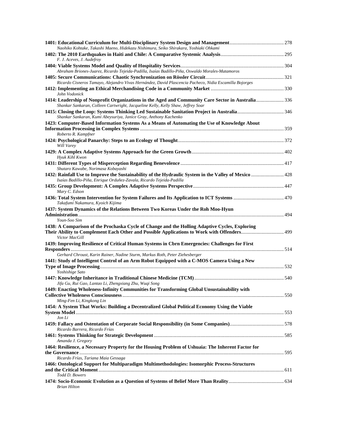| Naohiko Kohtake, Takashi Maeno, Hidekazu Nishimura, Seiko Shirakara, Yoshiaki Ohkami                                                                                                                                |  |
|---------------------------------------------------------------------------------------------------------------------------------------------------------------------------------------------------------------------|--|
|                                                                                                                                                                                                                     |  |
| F. J. Aceves, J. Audefroy                                                                                                                                                                                           |  |
| Abraham Briones-Juarez, Ricardo Tejeida-Padilla, Isaías Badillo-Piña, Oswaldo Morales-Matamoros                                                                                                                     |  |
|                                                                                                                                                                                                                     |  |
| Ricardo Cisneros Tamayo, Alejandro Vivas Hernández, David Plascencia Pacheco, Nidia Escamilla Bojorges<br>John Vodonick                                                                                             |  |
| 1414: Leadership of Nonprofit Organizations in the Aged and Community Care Sector in Australia336<br>Shankar Sankaran, Colleen Cartwright, Jacqueline Kelly, Kelly Shaw, Jeffrey Soar                               |  |
| Shankar Sankaran, Kumi Abeysuriya, Janice Gray, Anthony Kachenko                                                                                                                                                    |  |
| 1423: Computer-Based Information Systems As a Means of Automating the Use of Knowledge About                                                                                                                        |  |
| Roberto R. Kampfner                                                                                                                                                                                                 |  |
| Will Varey                                                                                                                                                                                                          |  |
| Hyuk Kihl Kwon                                                                                                                                                                                                      |  |
|                                                                                                                                                                                                                     |  |
| Shutaro Kawabe, Norimasa Kobayashi<br>1432: Rainfall Use to Improve the Sustainability of the Hydraulic System in the Valley of Mexico  428<br>Isaías Badillo-Piña, Enrique Orduñez-Zavala, Ricardo Tejeida-Padilla |  |
| Mary C. Edson                                                                                                                                                                                                       |  |
| Takafumi Nakamura, Kyoich Kijima                                                                                                                                                                                    |  |
| 1437: System Dynamics of the Relations Between Two Koreas Under the Roh Moo-Hyun                                                                                                                                    |  |
| Youn-Soo Sim<br>1438: A Comparison of the Prochaska Cycle of Change and the Holling Adaptive Cycles, Exploring<br>Victor MacGill                                                                                    |  |
| 1439: Improving Resilience of Critical Human Systems in Cbrn Emergencies: Challenges for First                                                                                                                      |  |
| Gerhard Chroust, Karin Rainer, Nadine Sturm, Markus Roth, Peter Ziehesberger                                                                                                                                        |  |
| 1441: Study of Intelligent Control of an Arm Robot Equipped with a C-MOS Camera Using a New                                                                                                                         |  |
| Yoshishige Sato<br>Jifa Gu, Rui Gao, Lantao Li, Zhengxiang Zhu, Wuqi Song                                                                                                                                           |  |
| 1449: Enacting Wholeness-Infinity Communities for Transforming Global Unsustainability with                                                                                                                         |  |
| Ming-Fen Li, Kingkong Lin                                                                                                                                                                                           |  |
| 1454: A System That Works: Building a Decentralized Global Political Economy Using the Viable<br>Jon Li                                                                                                             |  |
|                                                                                                                                                                                                                     |  |
| Ricardo Barrera, Ricardo Frías                                                                                                                                                                                      |  |
| Amanda J. Gregory                                                                                                                                                                                                   |  |
| 1464: Resilience, a Necessary Property for the Housing Problem of Ushuaia: The Inherent Factor for                                                                                                                  |  |
| Ricardo Frías, Tariana Maia Gessaga<br>1466: Ontological Support for Multiparadigm Multimethodologies: Isomorphic Process-Structures                                                                                |  |
|                                                                                                                                                                                                                     |  |
| Todd D. Bowers                                                                                                                                                                                                      |  |
| <b>Brian Hilton</b>                                                                                                                                                                                                 |  |